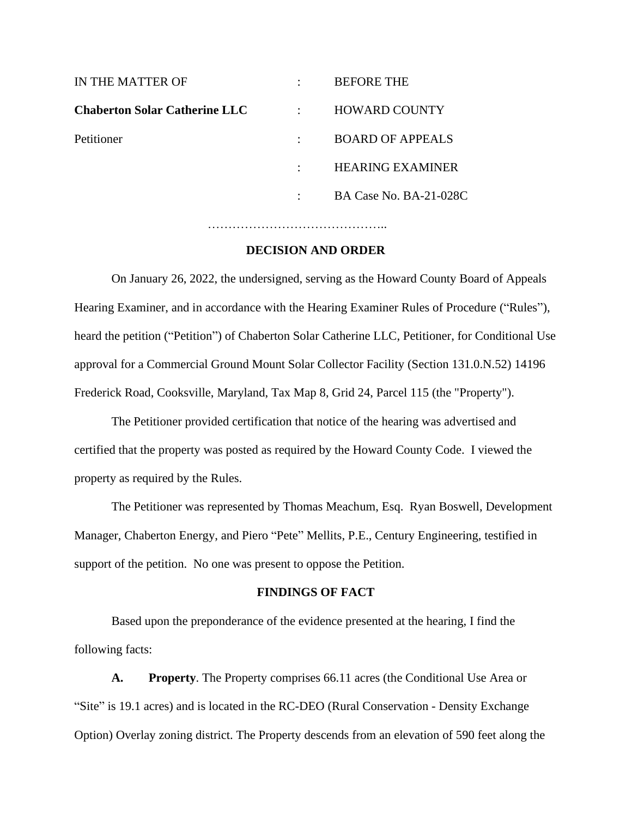| IN THE MATTER OF                     | <b>BEFORE THE</b>       |
|--------------------------------------|-------------------------|
| <b>Chaberton Solar Catherine LLC</b> | <b>HOWARD COUNTY</b>    |
| Petitioner                           | <b>BOARD OF APPEALS</b> |
|                                      | <b>HEARING EXAMINER</b> |
|                                      | BA Case No. BA-21-028C  |
|                                      |                         |

#### **DECISION AND ORDER**

……………………………………..

On January 26, 2022, the undersigned, serving as the Howard County Board of Appeals Hearing Examiner, and in accordance with the Hearing Examiner Rules of Procedure ("Rules"), heard the petition ("Petition") of Chaberton Solar Catherine LLC, Petitioner, for Conditional Use approval for a Commercial Ground Mount Solar Collector Facility (Section 131.0.N.52) 14196 Frederick Road, Cooksville, Maryland, Tax Map 8, Grid 24, Parcel 115 (the "Property").

The Petitioner provided certification that notice of the hearing was advertised and certified that the property was posted as required by the Howard County Code. I viewed the property as required by the Rules.

The Petitioner was represented by Thomas Meachum, Esq. Ryan Boswell, Development Manager, Chaberton Energy, and Piero "Pete" Mellits, P.E., Century Engineering, testified in support of the petition. No one was present to oppose the Petition.

#### **FINDINGS OF FACT**

Based upon the preponderance of the evidence presented at the hearing, I find the following facts:

**A. Property**. The Property comprises 66.11 acres (the Conditional Use Area or "Site" is 19.1 acres) and is located in the RC-DEO (Rural Conservation - Density Exchange Option) Overlay zoning district. The Property descends from an elevation of 590 feet along the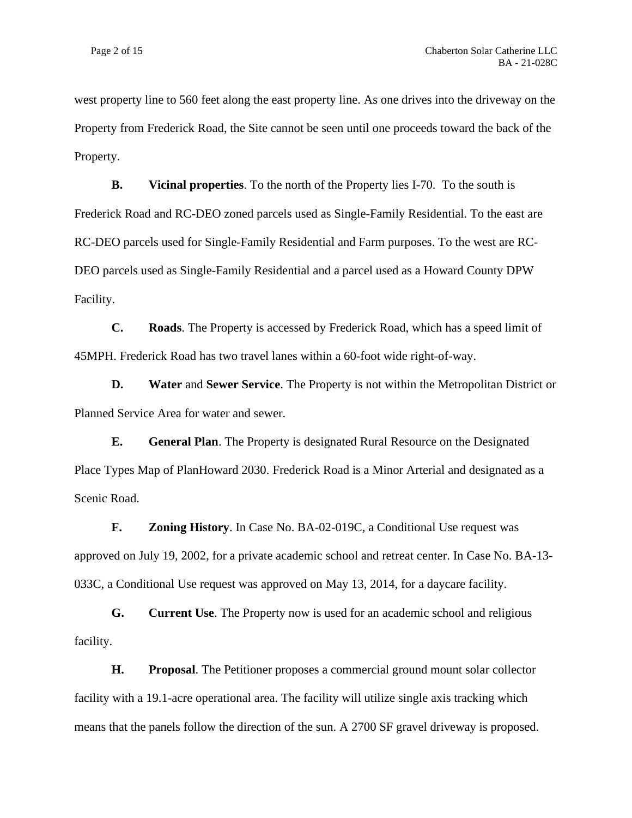west property line to 560 feet along the east property line. As one drives into the driveway on the Property from Frederick Road, the Site cannot be seen until one proceeds toward the back of the Property.

**B. Vicinal properties**. To the north of the Property lies I-70. To the south is Frederick Road and RC-DEO zoned parcels used as Single-Family Residential. To the east are RC-DEO parcels used for Single-Family Residential and Farm purposes. To the west are RC-DEO parcels used as Single-Family Residential and a parcel used as a Howard County DPW Facility.

**C. Roads**. The Property is accessed by Frederick Road, which has a speed limit of 45MPH. Frederick Road has two travel lanes within a 60-foot wide right-of-way.

**D. Water** and **Sewer Service**. The Property is not within the Metropolitan District or Planned Service Area for water and sewer.

**E. General Plan**. The Property is designated Rural Resource on the Designated Place Types Map of PlanHoward 2030. Frederick Road is a Minor Arterial and designated as a Scenic Road.

**F. Zoning History**. In Case No. BA-02-019C, a Conditional Use request was approved on July 19, 2002, for a private academic school and retreat center. In Case No. BA-13- 033C, a Conditional Use request was approved on May 13, 2014, for a daycare facility.

**G. Current Use**. The Property now is used for an academic school and religious facility.

**H. Proposal**. The Petitioner proposes a commercial ground mount solar collector facility with a 19.1-acre operational area. The facility will utilize single axis tracking which means that the panels follow the direction of the sun. A 2700 SF gravel driveway is proposed.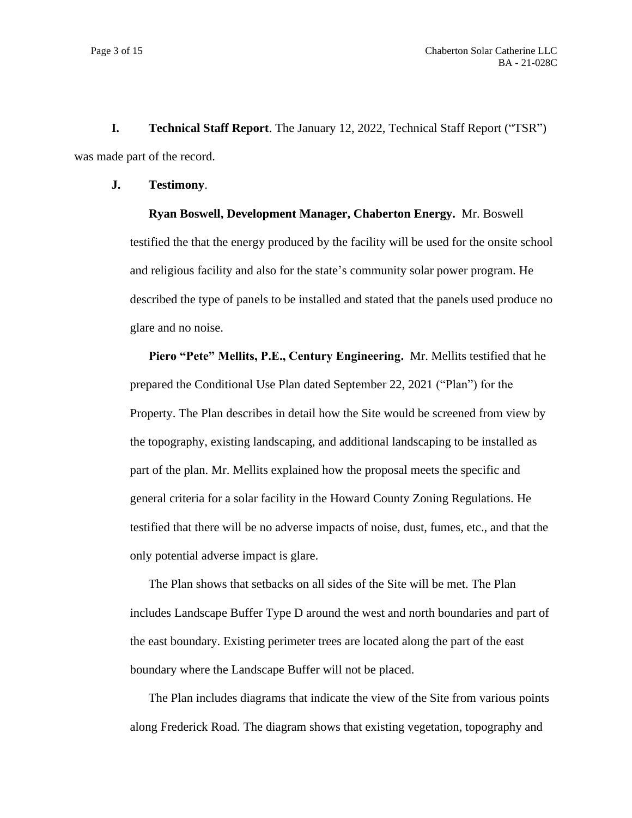**I. Technical Staff Report**. The January 12, 2022, Technical Staff Report ("TSR") was made part of the record.

#### **J. Testimony**.

**Ryan Boswell, Development Manager, Chaberton Energy.** Mr. Boswell testified the that the energy produced by the facility will be used for the onsite school and religious facility and also for the state's community solar power program. He described the type of panels to be installed and stated that the panels used produce no glare and no noise.

**Piero "Pete" Mellits, P.E., Century Engineering.** Mr. Mellits testified that he prepared the Conditional Use Plan dated September 22, 2021 ("Plan") for the Property. The Plan describes in detail how the Site would be screened from view by the topography, existing landscaping, and additional landscaping to be installed as part of the plan. Mr. Mellits explained how the proposal meets the specific and general criteria for a solar facility in the Howard County Zoning Regulations. He testified that there will be no adverse impacts of noise, dust, fumes, etc., and that the only potential adverse impact is glare.

The Plan shows that setbacks on all sides of the Site will be met. The Plan includes Landscape Buffer Type D around the west and north boundaries and part of the east boundary. Existing perimeter trees are located along the part of the east boundary where the Landscape Buffer will not be placed.

The Plan includes diagrams that indicate the view of the Site from various points along Frederick Road. The diagram shows that existing vegetation, topography and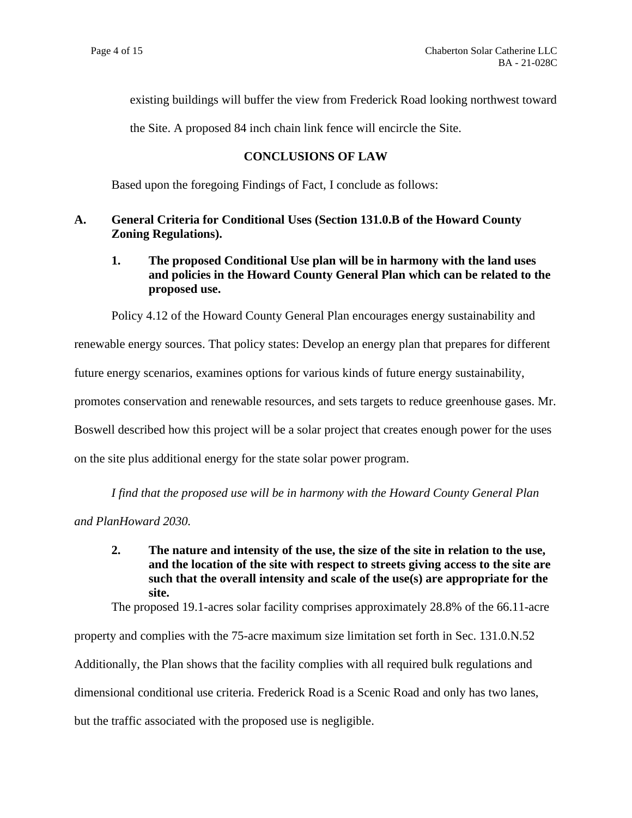existing buildings will buffer the view from Frederick Road looking northwest toward

the Site. A proposed 84 inch chain link fence will encircle the Site.

# **CONCLUSIONS OF LAW**

Based upon the foregoing Findings of Fact, I conclude as follows:

### **A. General Criteria for Conditional Uses (Section 131.0.B of the Howard County Zoning Regulations).**

# **1. The proposed Conditional Use plan will be in harmony with the land uses and policies in the Howard County General Plan which can be related to the proposed use.**

Policy 4.12 of the Howard County General Plan encourages energy sustainability and renewable energy sources. That policy states: Develop an energy plan that prepares for different future energy scenarios, examines options for various kinds of future energy sustainability, promotes conservation and renewable resources, and sets targets to reduce greenhouse gases. Mr. Boswell described how this project will be a solar project that creates enough power for the uses on the site plus additional energy for the state solar power program.

*I find that the proposed use will be in harmony with the Howard County General Plan*

*and PlanHoward 2030.*

**2. The nature and intensity of the use, the size of the site in relation to the use, and the location of the site with respect to streets giving access to the site are such that the overall intensity and scale of the use(s) are appropriate for the site.**

The proposed 19.1-acres solar facility comprises approximately 28.8% of the 66.11-acre

property and complies with the 75-acre maximum size limitation set forth in Sec. 131.0.N.52 Additionally, the Plan shows that the facility complies with all required bulk regulations and dimensional conditional use criteria. Frederick Road is a Scenic Road and only has two lanes, but the traffic associated with the proposed use is negligible.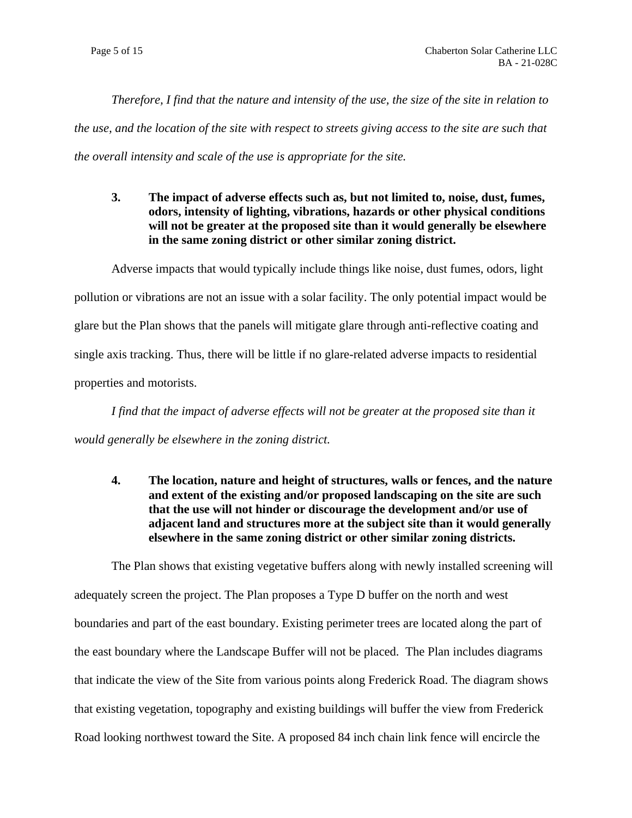*Therefore, I find that the nature and intensity of the use, the size of the site in relation to the use, and the location of the site with respect to streets giving access to the site are such that the overall intensity and scale of the use is appropriate for the site.*

**3. The impact of adverse effects such as, but not limited to, noise, dust, fumes, odors, intensity of lighting, vibrations, hazards or other physical conditions will not be greater at the proposed site than it would generally be elsewhere in the same zoning district or other similar zoning district.**

Adverse impacts that would typically include things like noise, dust fumes, odors, light pollution or vibrations are not an issue with a solar facility. The only potential impact would be glare but the Plan shows that the panels will mitigate glare through anti-reflective coating and single axis tracking. Thus, there will be little if no glare-related adverse impacts to residential properties and motorists.

*I find that the impact of adverse effects will not be greater at the proposed site than it would generally be elsewhere in the zoning district.*

**4. The location, nature and height of structures, walls or fences, and the nature and extent of the existing and/or proposed landscaping on the site are such that the use will not hinder or discourage the development and/or use of adjacent land and structures more at the subject site than it would generally elsewhere in the same zoning district or other similar zoning districts.**

The Plan shows that existing vegetative buffers along with newly installed screening will adequately screen the project. The Plan proposes a Type D buffer on the north and west boundaries and part of the east boundary. Existing perimeter trees are located along the part of the east boundary where the Landscape Buffer will not be placed. The Plan includes diagrams that indicate the view of the Site from various points along Frederick Road. The diagram shows that existing vegetation, topography and existing buildings will buffer the view from Frederick Road looking northwest toward the Site. A proposed 84 inch chain link fence will encircle the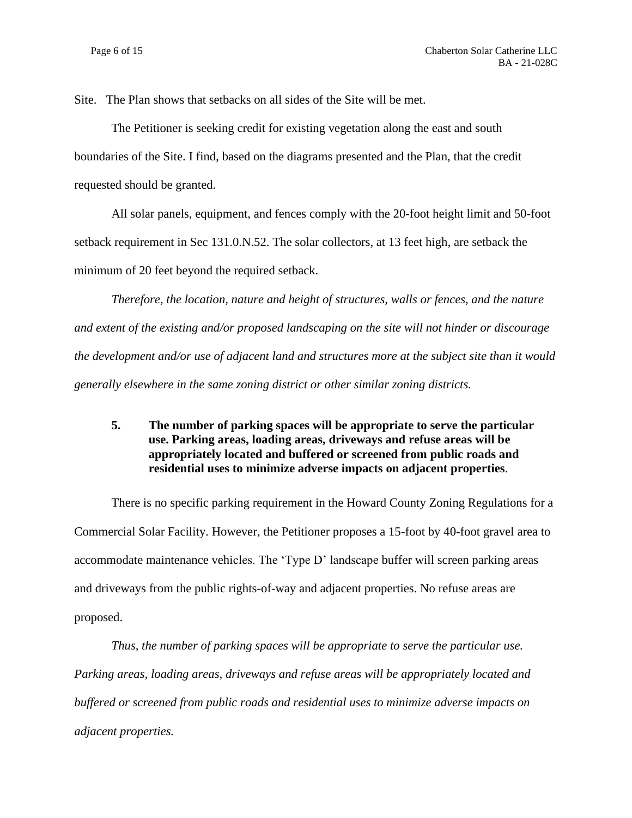Site. The Plan shows that setbacks on all sides of the Site will be met.

The Petitioner is seeking credit for existing vegetation along the east and south boundaries of the Site. I find, based on the diagrams presented and the Plan, that the credit requested should be granted.

All solar panels, equipment, and fences comply with the 20-foot height limit and 50-foot setback requirement in Sec 131.0.N.52. The solar collectors, at 13 feet high, are setback the minimum of 20 feet beyond the required setback.

*Therefore, the location, nature and height of structures, walls or fences, and the nature and extent of the existing and/or proposed landscaping on the site will not hinder or discourage the development and/or use of adjacent land and structures more at the subject site than it would generally elsewhere in the same zoning district or other similar zoning districts.*

# **5. The number of parking spaces will be appropriate to serve the particular use. Parking areas, loading areas, driveways and refuse areas will be appropriately located and buffered or screened from public roads and residential uses to minimize adverse impacts on adjacent properties**.

There is no specific parking requirement in the Howard County Zoning Regulations for a Commercial Solar Facility. However, the Petitioner proposes a 15-foot by 40-foot gravel area to accommodate maintenance vehicles. The 'Type D' landscape buffer will screen parking areas and driveways from the public rights-of-way and adjacent properties. No refuse areas are proposed.

*Thus, the number of parking spaces will be appropriate to serve the particular use. Parking areas, loading areas, driveways and refuse areas will be appropriately located and buffered or screened from public roads and residential uses to minimize adverse impacts on adjacent properties.*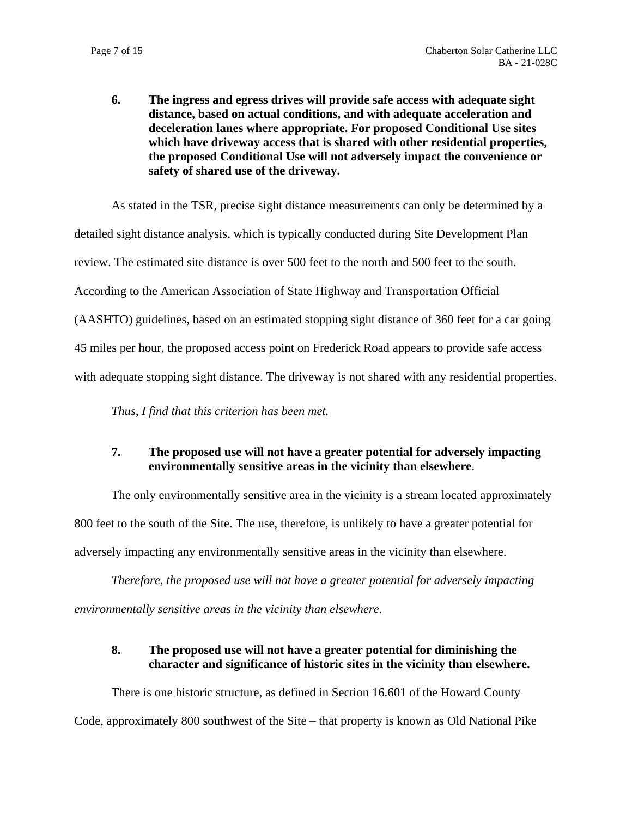**6. The ingress and egress drives will provide safe access with adequate sight distance, based on actual conditions, and with adequate acceleration and deceleration lanes where appropriate. For proposed Conditional Use sites which have driveway access that is shared with other residential properties, the proposed Conditional Use will not adversely impact the convenience or safety of shared use of the driveway.**

As stated in the TSR, precise sight distance measurements can only be determined by a detailed sight distance analysis, which is typically conducted during Site Development Plan review. The estimated site distance is over 500 feet to the north and 500 feet to the south. According to the American Association of State Highway and Transportation Official (AASHTO) guidelines, based on an estimated stopping sight distance of 360 feet for a car going 45 miles per hour, the proposed access point on Frederick Road appears to provide safe access with adequate stopping sight distance. The driveway is not shared with any residential properties.

*Thus, I find that this criterion has been met.*

## **7. The proposed use will not have a greater potential for adversely impacting environmentally sensitive areas in the vicinity than elsewhere**.

The only environmentally sensitive area in the vicinity is a stream located approximately 800 feet to the south of the Site. The use, therefore, is unlikely to have a greater potential for adversely impacting any environmentally sensitive areas in the vicinity than elsewhere.

*Therefore, the proposed use will not have a greater potential for adversely impacting environmentally sensitive areas in the vicinity than elsewhere.*

## **8. The proposed use will not have a greater potential for diminishing the character and significance of historic sites in the vicinity than elsewhere.**

There is one historic structure, as defined in Section 16.601 of the Howard County Code, approximately 800 southwest of the Site – that property is known as Old National Pike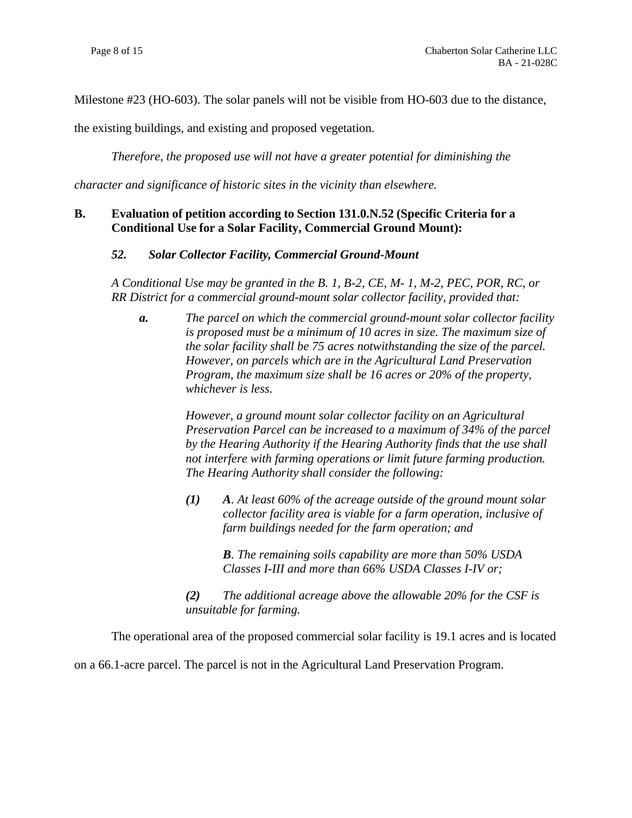Milestone #23 (HO-603). The solar panels will not be visible from HO-603 due to the distance,

the existing buildings, and existing and proposed vegetation.

*Therefore, the proposed use will not have a greater potential for diminishing the* 

*character and significance of historic sites in the vicinity than elsewhere.*

### **B. Evaluation of petition according to Section 131.0.N.52 (Specific Criteria for a Conditional Use for a Solar Facility, Commercial Ground Mount):**

#### *52. Solar Collector Facility, Commercial Ground-Mount*

*A Conditional Use may be granted in the B. 1, B-2, CE, M- 1, M-2, PEC, POR, RC, or RR District for a commercial ground-mount solar collector facility, provided that:*

*a. The parcel on which the commercial ground-mount solar collector facility is proposed must be a minimum of 10 acres in size. The maximum size of the solar facility shall be 75 acres notwithstanding the size of the parcel. However, on parcels which are in the Agricultural Land Preservation Program, the maximum size shall be 16 acres or 20% of the property, whichever is less.*

> *However, a ground mount solar collector facility on an Agricultural Preservation Parcel can be increased to a maximum of 34% of the parcel by the Hearing Authority if the Hearing Authority finds that the use shall not interfere with farming operations or limit future farming production. The Hearing Authority shall consider the following:*

*(1) A. At least 60% of the acreage outside of the ground mount solar collector facility area is viable for a farm operation, inclusive of farm buildings needed for the farm operation; and*

> *B. The remaining soils capability are more than 50% USDA Classes I-III and more than 66% USDA Classes I-IV or;*

*(2) The additional acreage above the allowable 20% for the CSF is unsuitable for farming.*

The operational area of the proposed commercial solar facility is 19.1 acres and is located

on a 66.1-acre parcel. The parcel is not in the Agricultural Land Preservation Program.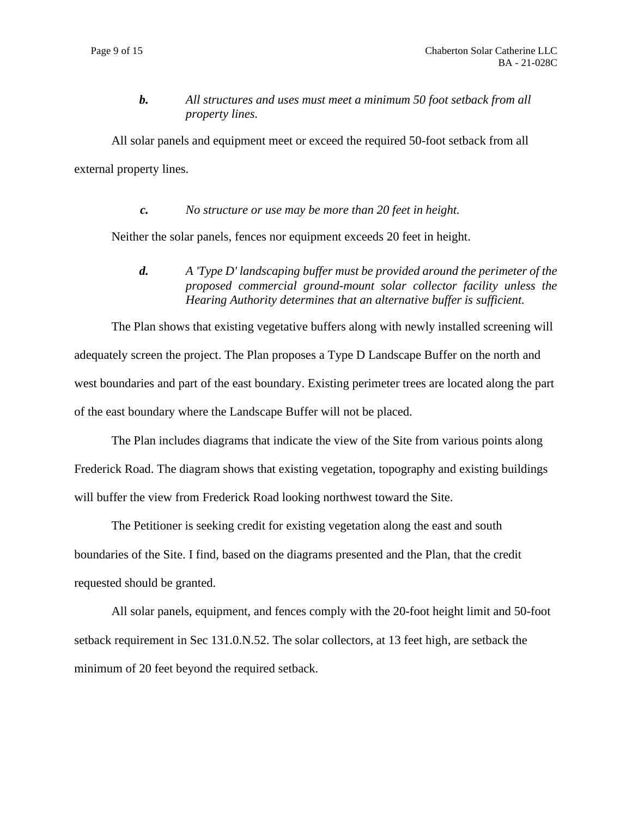*b. All structures and uses must meet a minimum 50 foot setback from all property lines.*

All solar panels and equipment meet or exceed the required 50-foot setback from all external property lines.

*c. No structure or use may be more than 20 feet in height.*

Neither the solar panels, fences nor equipment exceeds 20 feet in height.

*d. A 'Type D' landscaping buffer must be provided around the perimeter of the proposed commercial ground-mount solar collector facility unless the Hearing Authority determines that an alternative buffer is sufficient.*

The Plan shows that existing vegetative buffers along with newly installed screening will adequately screen the project. The Plan proposes a Type D Landscape Buffer on the north and west boundaries and part of the east boundary. Existing perimeter trees are located along the part of the east boundary where the Landscape Buffer will not be placed.

The Plan includes diagrams that indicate the view of the Site from various points along Frederick Road. The diagram shows that existing vegetation, topography and existing buildings will buffer the view from Frederick Road looking northwest toward the Site.

The Petitioner is seeking credit for existing vegetation along the east and south boundaries of the Site. I find, based on the diagrams presented and the Plan, that the credit requested should be granted.

All solar panels, equipment, and fences comply with the 20-foot height limit and 50-foot setback requirement in Sec 131.0.N.52. The solar collectors, at 13 feet high, are setback the minimum of 20 feet beyond the required setback.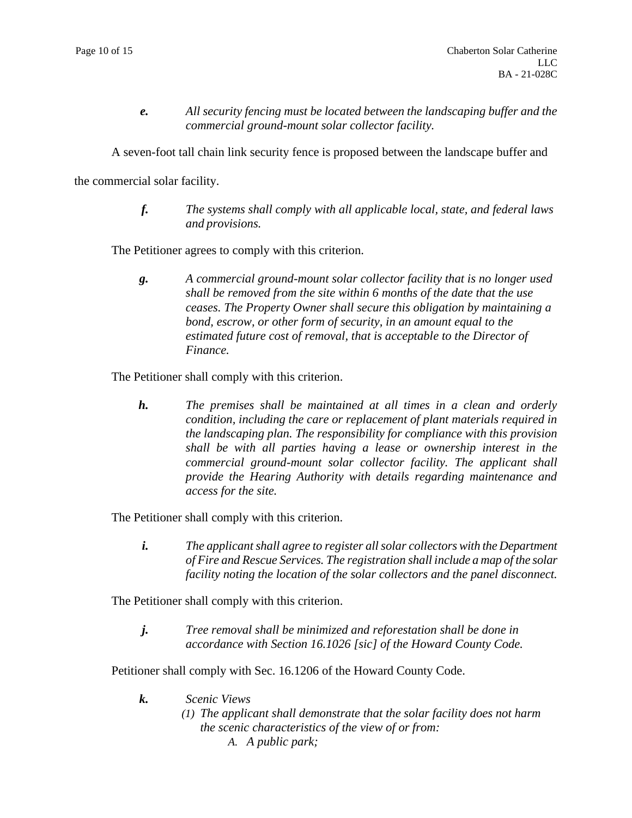*e. All security fencing must be located between the landscaping buffer and the commercial ground-mount solar collector facility.*

A seven-foot tall chain link security fence is proposed between the landscape buffer and

the commercial solar facility.

*f. The systems shall comply with all applicable local, state, and federal laws and provisions.*

The Petitioner agrees to comply with this criterion.

*g. A commercial ground-mount solar collector facility that is no longer used shall be removed from the site within 6 months of the date that the use ceases. The Property Owner shall secure this obligation by maintaining a bond, escrow, or other form of security, in an amount equal to the estimated future cost of removal, that is acceptable to the Director of Finance.*

The Petitioner shall comply with this criterion.

*h. The premises shall be maintained at all times in a clean and orderly condition, including the care or replacement of plant materials required in the landscaping plan. The responsibility for compliance with this provision shall be with all parties having a lease or ownership interest in the commercial ground-mount solar collector facility. The applicant shall provide the Hearing Authority with details regarding maintenance and access for the site.*

The Petitioner shall comply with this criterion.

*i. The applicant shall agree to register all solar collectors with the Department of Fire and Rescue Services. The registration shall include a map of the solar facility noting the location of the solar collectors and the panel disconnect.*

The Petitioner shall comply with this criterion.

*j. Tree removal shall be minimized and reforestation shall be done in accordance with Section 16.1026 [sic] of the Howard County Code.*

Petitioner shall comply with Sec. 16.1206 of the Howard County Code.

- *k. Scenic Views*
	- *(1) The applicant shall demonstrate that the solar facility does not harm the scenic characteristics of the view of or from: A. A public park;*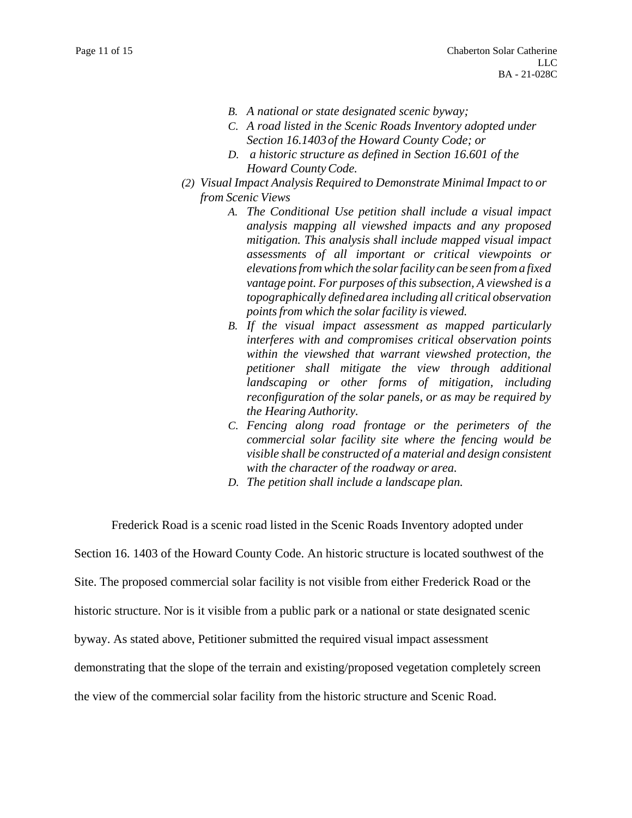- *B. A national or state designated scenic byway;*
- *C. A road listed in the Scenic Roads Inventory adopted under Section 16.1403of the Howard County Code; or*
- *D. a historic structure as defined in Section 16.601 of the Howard CountyCode.*
- *(2) Visual Impact Analysis Required to Demonstrate Minimal Impact to or from Scenic Views*
	- *A. The Conditional Use petition shall include a visual impact analysis mapping all viewshed impacts and any proposed mitigation. This analysis shall include mapped visual impact assessments of all important or critical viewpoints or elevationsfrom which the solarfacility can be seen from a fixed vantage point. For purposes of this subsection, A viewshed is a topographically definedarea including all critical observation pointsfrom which the solarfacility is viewed.*
	- *B. If the visual impact assessment as mapped particularly interferes with and compromises critical observation points within the viewshed that warrant viewshed protection, the petitioner shall mitigate the view through additional landscaping or other forms of mitigation, including reconfiguration of the solar panels, or as may be required by the Hearing Authority.*
	- *C. Fencing along road frontage or the perimeters of the commercial solar facility site where the fencing would be visible shall be constructed of a material and design consistent with the character of the roadway or area.*
	- *D. The petition shall include a landscape plan.*

Frederick Road is a scenic road listed in the Scenic Roads Inventory adopted under

Section 16. 1403 of the Howard County Code. An historic structure is located southwest of the

Site. The proposed commercial solar facility is not visible from either Frederick Road or the

historic structure. Nor is it visible from a public park or a national or state designated scenic

byway. As stated above, Petitioner submitted the required visual impact assessment

demonstrating that the slope of the terrain and existing/proposed vegetation completely screen

the view of the commercial solar facility from the historic structure and Scenic Road.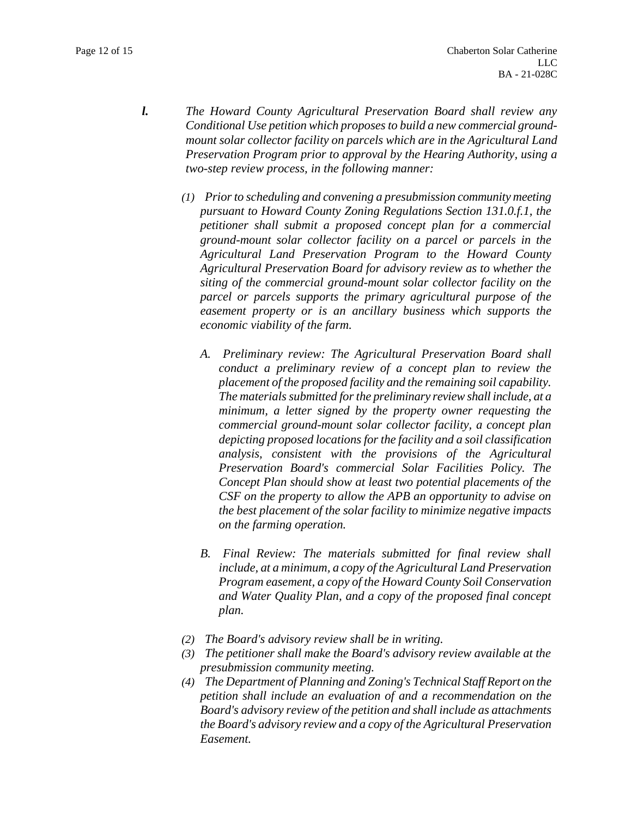- *l. The Howard County Agricultural Preservation Board shall review any Conditional Use petition which proposes to build a new commercial groundmount solar collector facility on parcels which are in the Agricultural Land Preservation Program prior to approval by the Hearing Authority, using a two-step review process, in the following manner:*
	- *(1) Prior to scheduling and convening a presubmission community meeting pursuant to Howard County Zoning Regulations Section 131.0.f.1, the petitioner shall submit a proposed concept plan for a commercial ground-mount solar collector facility on a parcel or parcels in the Agricultural Land Preservation Program to the Howard County Agricultural Preservation Board for advisory review as to whether the siting of the commercial ground-mount solar collector facility on the parcel or parcels supports the primary agricultural purpose of the easement property or is an ancillary business which supports the economic viability of the farm.*
		- *A. Preliminary review: The Agricultural Preservation Board shall conduct a preliminary review of a concept plan to review the placement of the proposed facility and the remaining soil capability. The materials submitted for the preliminary review shall include, at a minimum, a letter signed by the property owner requesting the commercial ground-mount solar collector facility, a concept plan depicting proposed locations for the facility and a soil classification analysis, consistent with the provisions of the Agricultural Preservation Board's commercial Solar Facilities Policy. The Concept Plan should show at least two potential placements of the CSF on the property to allow the APB an opportunity to advise on the best placement of the solar facility to minimize negative impacts on the farming operation.*
		- *B. Final Review: The materials submitted for final review shall include, at a minimum, a copy of the Agricultural Land Preservation Program easement, a copy of the Howard County Soil Conservation and Water Quality Plan, and a copy of the proposed final concept plan.*
	- *(2) The Board's advisory review shall be in writing.*
	- *(3) The petitioner shall make the Board's advisory review available at the presubmission community meeting.*
	- *(4) The Department of Planning and Zoning's Technical Staff Report on the petition shall include an evaluation of and a recommendation on the Board's advisory review of the petition and shall include as attachments the Board's advisory review and a copy of the Agricultural Preservation Easement.*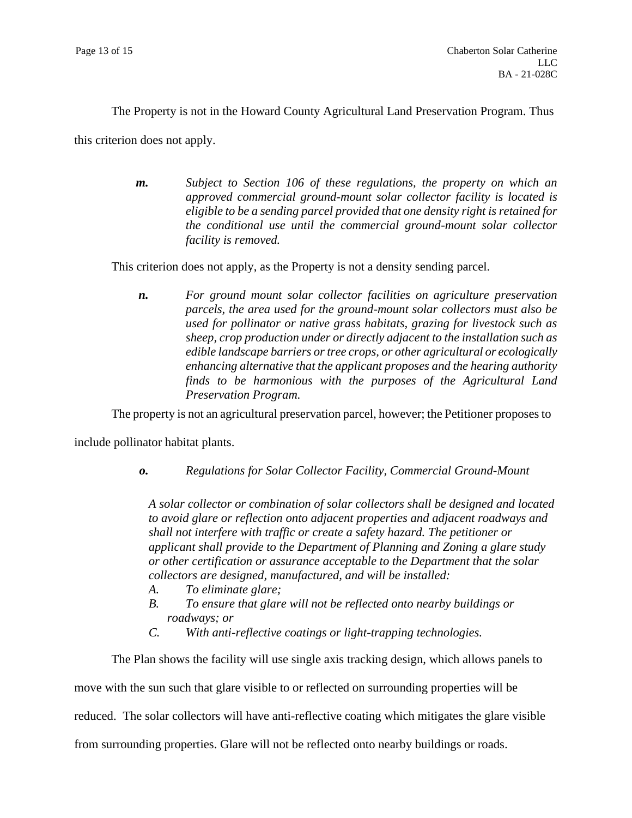The Property is not in the Howard County Agricultural Land Preservation Program. Thus

this criterion does not apply.

*m. Subject to Section 106 of these regulations, the property on which an approved commercial ground-mount solar collector facility is located is eligible to be a sending parcel provided that one density right is retained for the conditional use until the commercial ground-mount solar collector facility is removed.*

This criterion does not apply, as the Property is not a density sending parcel.

*n. For ground mount solar collector facilities on agriculture preservation parcels, the area used for the ground-mount solar collectors must also be used for pollinator or native grass habitats, grazing for livestock such as sheep, crop production under or directly adjacent to the installation such as edible landscape barriers or tree crops, or other agricultural or ecologically enhancing alternative that the applicant proposes and the hearing authority finds to be harmonious with the purposes of the Agricultural Land Preservation Program.*

The property is not an agricultural preservation parcel, however; the Petitioner proposes to

include pollinator habitat plants.

*o. Regulations for Solar Collector Facility, Commercial Ground-Mount*

*A solar collector or combination of solar collectors shall be designed and located to avoid glare or reflection onto adjacent properties and adjacent roadways and shall not interfere with traffic or create a safety hazard. The petitioner or applicant shall provide to the Department of Planning and Zoning a glare study or other certification or assurance acceptable to the Department that the solar collectors are designed, manufactured, and will be installed:*

- *A. To eliminate glare;*
- *B. To ensure that glare will not be reflected onto nearby buildings or roadways; or*
- *C. With anti-reflective coatings or light-trapping technologies.*

The Plan shows the facility will use single axis tracking design, which allows panels to

move with the sun such that glare visible to or reflected on surrounding properties will be

reduced. The solar collectors will have anti-reflective coating which mitigates the glare visible

from surrounding properties. Glare will not be reflected onto nearby buildings or roads.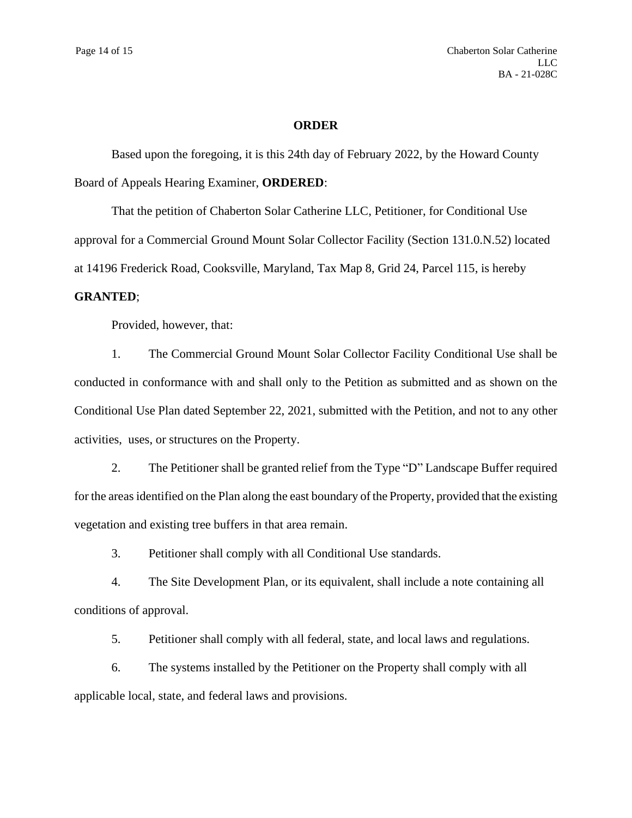#### **ORDER**

Based upon the foregoing, it is this 24th day of February 2022, by the Howard County Board of Appeals Hearing Examiner, **ORDERED**:

That the petition of Chaberton Solar Catherine LLC, Petitioner, for Conditional Use approval for a Commercial Ground Mount Solar Collector Facility (Section 131.0.N.52) located at 14196 Frederick Road, Cooksville, Maryland, Tax Map 8, Grid 24, Parcel 115, is hereby

#### **GRANTED**;

Provided, however, that:

1. The Commercial Ground Mount Solar Collector Facility Conditional Use shall be conducted in conformance with and shall only to the Petition as submitted and as shown on the Conditional Use Plan dated September 22, 2021, submitted with the Petition, and not to any other activities, uses, or structures on the Property.

2. The Petitioner shall be granted relief from the Type "D" Landscape Buffer required for the areas identified on the Plan along the east boundary of the Property, provided that the existing vegetation and existing tree buffers in that area remain.

3. Petitioner shall comply with all Conditional Use standards.

4. The Site Development Plan, or its equivalent, shall include a note containing all conditions of approval.

5. Petitioner shall comply with all federal, state, and local laws and regulations.

6. The systems installed by the Petitioner on the Property shall comply with all applicable local, state, and federal laws and provisions.